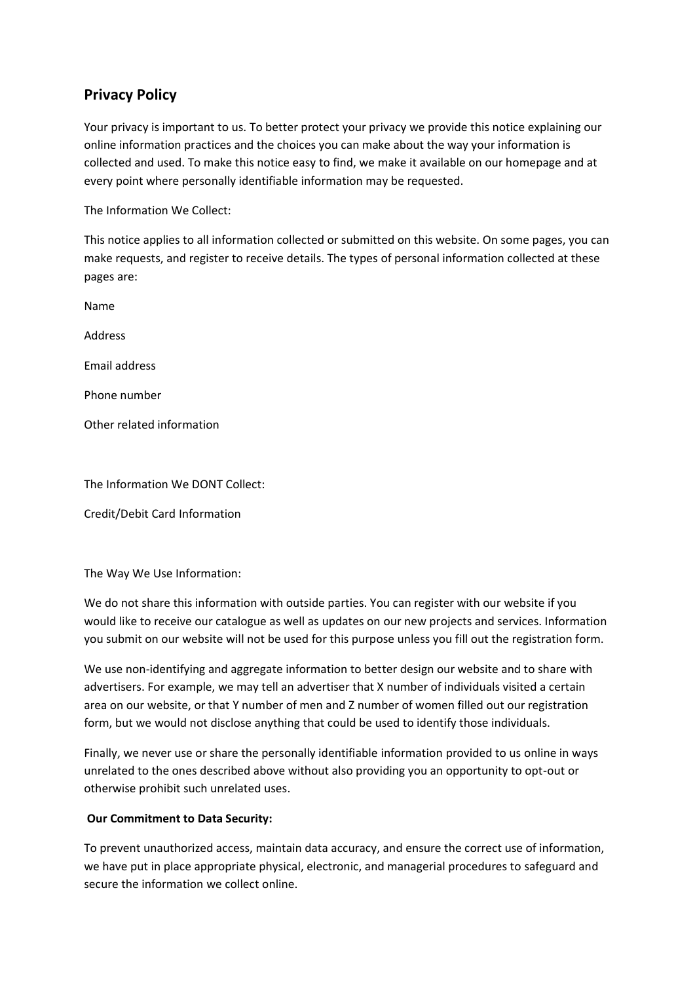## **Privacy Policy**

Your privacy is important to us. To better protect your privacy we provide this notice explaining our online information practices and the choices you can make about the way your information is collected and used. To make this notice easy to find, we make it available on our homepage and at every point where personally identifiable information may be requested.

The Information We Collect:

This notice applies to all information collected or submitted on this website. On some pages, you can make requests, and register to receive details. The types of personal information collected at these pages are:

Name Address Email address Phone number Other related information

The Information We DONT Collect:

Credit/Debit Card Information

The Way We Use Information:

We do not share this information with outside parties. You can register with our website if you would like to receive our catalogue as well as updates on our new projects and services. Information you submit on our website will not be used for this purpose unless you fill out the registration form.

We use non-identifying and aggregate information to better design our website and to share with advertisers. For example, we may tell an advertiser that X number of individuals visited a certain area on our website, or that Y number of men and Z number of women filled out our registration form, but we would not disclose anything that could be used to identify those individuals.

Finally, we never use or share the personally identifiable information provided to us online in ways unrelated to the ones described above without also providing you an opportunity to opt-out or otherwise prohibit such unrelated uses.

## **Our Commitment to Data Security:**

To prevent unauthorized access, maintain data accuracy, and ensure the correct use of information, we have put in place appropriate physical, electronic, and managerial procedures to safeguard and secure the information we collect online.